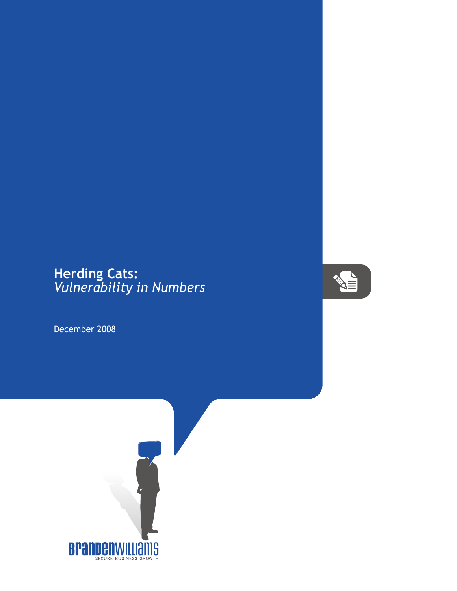## **Herding Cats:** *Vulnerability in Numbers*

December 2008



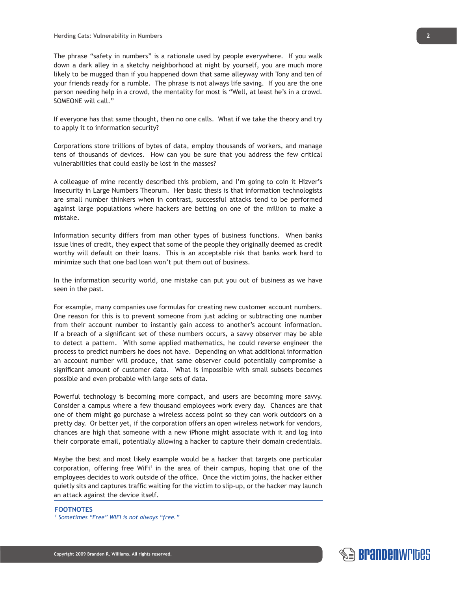The phrase "safety in numbers" is a rationale used by people everywhere. If you walk down a dark alley in a sketchy neighborhood at night by yourself, you are much more likely to be mugged than if you happened down that same alleyway with Tony and ten of your friends ready for a rumble. The phrase is not always life saving. If you are the one person needing help in a crowd, the mentality for most is "Well, at least he's in a crowd. SOMEONE will call."

If everyone has that same thought, then no one calls. What if we take the theory and try to apply it to information security?

Corporations store trillions of bytes of data, employ thousands of workers, and manage tens of thousands of devices. How can you be sure that you address the few critical vulnerabilities that could easily be lost in the masses?

A colleague of mine recently described this problem, and I'm going to coin it Hizver's Insecurity in Large Numbers Theorum. Her basic thesis is that information technologists are small number thinkers when in contrast, successful attacks tend to be performed against large populations where hackers are betting on one of the million to make a mistake.

Information security differs from man other types of business functions. When banks issue lines of credit, they expect that some of the people they originally deemed as credit worthy will default on their loans. This is an acceptable risk that banks work hard to minimize such that one bad loan won't put them out of business.

In the information security world, one mistake can put you out of business as we have seen in the past.

For example, many companies use formulas for creating new customer account numbers. One reason for this is to prevent someone from just adding or subtracting one number from their account number to instantly gain access to another's account information. If a breach of a significant set of these numbers occurs, a savvy observer may be able to detect a pattern. With some applied mathematics, he could reverse engineer the process to predict numbers he does not have. Depending on what additional information an account number will produce, that same observer could potentially compromise a significant amount of customer data. What is impossible with small subsets becomes possible and even probable with large sets of data.

Powerful technology is becoming more compact, and users are becoming more savvy. Consider a campus where a few thousand employees work every day. Chances are that one of them might go purchase a wireless access point so they can work outdoors on a pretty day. Or better yet, if the corporation offers an open wireless network for vendors, chances are high that someone with a new iPhone might associate with it and log into their corporate email, potentially allowing a hacker to capture their domain credentials.

Maybe the best and most likely example would be a hacker that targets one particular corporation, offering free WiFi<sup>1</sup> in the area of their campus, hoping that one of the employees decides to work outside of the office. Once the victim joins, the hacker either quietly sits and captures traffic waiting for the victim to slip-up, or the hacker may launch an attack against the device itself.

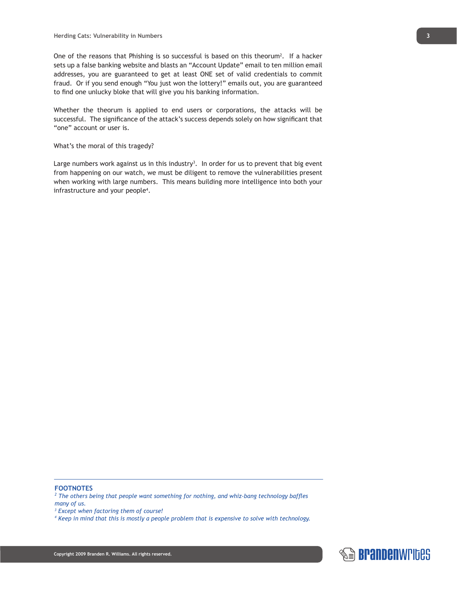One of the reasons that Phishing is so successful is based on this theorum<sup>2</sup>. If a hacker sets up a false banking website and blasts an "Account Update" email to ten million email addresses, you are guaranteed to get at least ONE set of valid credentials to commit fraud. Or if you send enough "You just won the lottery!" emails out, you are guaranteed to find one unlucky bloke that will give you his banking information.

Whether the theorum is applied to end users or corporations, the attacks will be successful. The significance of the attack's success depends solely on how significant that "one" account or user is.

## What's the moral of this tragedy?

Large numbers work against us in this industry<sup>3</sup>. In order for us to prevent that big event from happening on our watch, we must be diligent to remove the vulnerabilities present when working with large numbers. This means building more intelligence into both your infrastructure and your people<sup>4</sup>.

## **FOOTNOTES**

<sup>2</sup> The others being that people want something for nothing, and whiz-bang technology baffles *many of us.* 

*3 Except when factoring them of course!*

*4 Keep in mind that this is mostly a people problem that is expensive to solve with technology.*